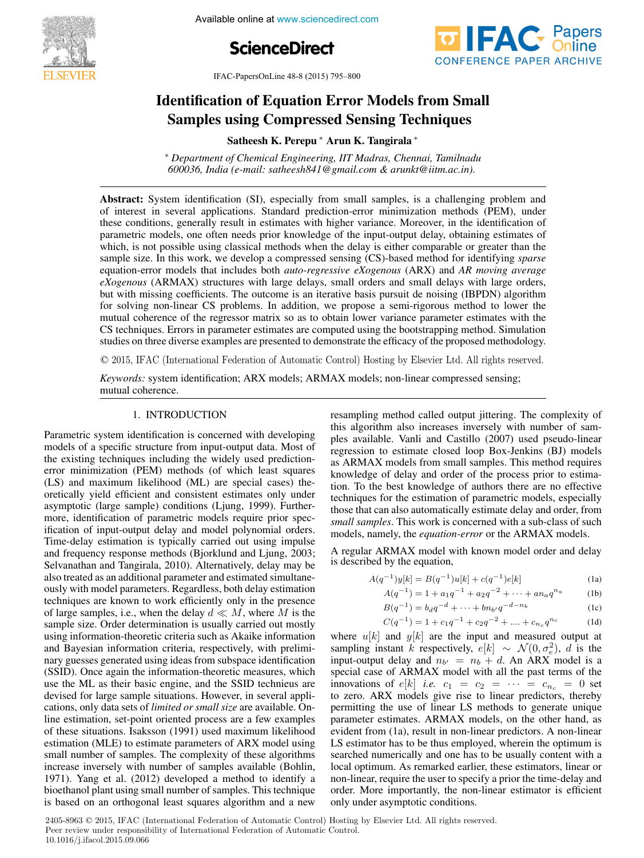

Available online at www.sciencedirect.com





IFAC-PapersOnLine 48-8 (2015) 795–800

# Identification of Equation Error Models from Small Samples using Compressed Sensing Techniques Samples using Compressed Sensing Techniques Samples using Compressed Sensing Techniques  $\mathbf{I}$ Identification of Equation Error Models from Small

Satheesh K. Perepu ∗ Arun K. Tangirala ∗ Satheesh K. Perepu ∗ Arun K. Tangirala ∗ Satheesh K. Perepu ∗ Arun K. Tangirala ∗  $S$ atheesh K. Perepu → Arun K. Tangirana

600036, India (e-mail: satheesh841@gmail.com & arunkt@iitm.ac.in). *600036, India (e-mail: satheesh841@gmail.com & arunkt@iitm.ac.in).* <sup>∗</sup> *Department of Chemical Engineering, IIT Madras, Chennai, Tamilnadu 600036, India (e-mail: satheesh841@gmail.com & arunkt@iitm.ac.in). 600036, India (e-mail: satheesh841@gmail.com & arunkt@iitm.ac.in).*

of interest in several applications. Standard prediction-error minimization methods (PEM), under these conditions, generally result in estimates with higher variance. Moreover, in the identification of parametric models, one often needs prior knowledge of the input-output delay, obtaining estimates of which, is not possible using classical methods when the delay is either comparable or greater than the sample size. In this work, we develop a compressed sensing (CS)-based method for identifying *sparse* equation-error models that includes both *auto-regressive eXogenous* (ARX) and AR moving average exogenous (ARMAX) structures with large delays, small orders and small delays with large orders, but with missing coefficients. The outcome is an iterative basis pursuit de noising (IBPDN) algorithm for solving non-linear CS problems. In addition, we propose a semi-rigorous method to lower the mutual coherence of the regressor matrix so as to obtain lower variance parameter estimates with the CS techniques. Errors in parameter estimates are computed using the bootstrapping method. Simulation studies on three diverse examples are presented to demonstrate the efficacy of the proposed methodology. Abstract: System identification (SI), especially from small samples, is a challenging problem and studies on three diverse examples are presented to demonstrate the efficacy of the proposed methodology.

© 2015, IFAC (International Federation of Automatic Control) Hosting by Elsevier Ltd. All rights reserved. 3.<br>© 2015. IFAC (International Federation of Automatic Control) Hosting by Elsevier Ltd. All rights reserved *Keywords:* system identification; ARX models; ARMAX models; non-linear compressed sensing;

*Keywords:* system identification; ARX models; ARMAX models; non-linear compressed sensing; mutual coherence. mutual coherence. mutual coherence. *Keywords:* system identification; ARX models; ARMAX models; non-linear compressed sensing;

#### 1. INTRODUCTION 1. INTRODUCTION 1. INTRODUCTION

Parametric system identification is concerned with developing models of a specific structure from input-output data. Most of the existing techniques including the widely used predictionerror minimization (PEM) methods (of which least squares (LS) and maximum likelihood (ML) are special cases) the oretically yield efficient and consistent estimates only under asymptotic (large sample) conditions (Ljung, 1999). Furthermore, identification of parametric models require prior specification of input-output delay and model polynomial orders. Time-delay estimation is typically carried out using impulse and frequency response methods (Bjorklund and Ljung, 2003; Selvanathan and Tangirala, 2010). Alternatively, delay may be also treated as an additional parameter and estimated simultaneously with model parameters. Regardless, both delay estimation techniques are known to work efficiently only in the presence of large samples, i.e., when the delay  $d \ll M$ , where M is the or large samples, i.e., when the delay  $a \ll M$ , where  $M$  is the sample size. Order determination is usually carried out mostly using information-theoretic criteria such as Akaike information and Bayesian information criteria, respectively, with preliminary guesses generated using ideas from subspace identification (SSID). Once again the information-theoretic measures, which use the ML as their basic engine, and the SSID technieus are devised for large sample situations. However, in several applications, only data sets of *limited or small size* are available. Online estimation, set-point oriented process are a few examples of these situations. Isaksson  $(1991)$  used maximum likelihood estimation (MLE) to estimate parameters of ARX model using small number of samples. The complexity of these algorithms increase inversely with number of samples available (Bohlin, 1971). Yang et al. (2012) developed a method to identify a bioethanol plant using small number of samples. This technique is based on an orthogonal least squares algorithm and a new bioethanol plant using small number of samples. This technique Parametric system identification is concerned with developing Parametric system identification is concerned with developing models of a specific structure from input-output data. Most of models of a specific structure from input-output data. Most of the existing techniques including the widely used predictionoretically yield efficient and consistent estimates only under asymptotic (large sample) conditions (Ljung, 1999). Furtherasymptotic (large sample) conditions (Ljung, 1999). Furthermore, identification of parametric models require prior spec- $(SSID)$ . Once again the information-theoretic measures, which  $(SSD)$ use the ML as their basic engine, and the SSID technieus are use the ML as their basic engine, and the SSID technieus are is based on an orthogonal least squares algorithm and a new resampling method called output jittering. The complexity of this algorithm also increases inversely with number of samples available. Vanli and Castillo (2007) used pseudo-linear regression to estimate closed loop Box-Jenkins (BJ) models as ARMAX models from small samples. This method requires knowledge of delay and order of the process prior to estimation. To the best knowledge of authors there are no effective techniques for the estimation of parametric models, especially those that can also automatically estimate delay and order, from small samples. This work is concerned with a sub-class of such<br>and the model of DMAX wouldness models, namely, the *equation-error* or the ARMAX models. resampling method called output jittering. The complexity of resampling method called output jittering. The complexity of this algorithm also increases inversely with number of sam-this algorithm also increases inversely with number of samknowledge of delay and order of the process prior to estima-tion. To the best knowledge of authors there are no effective tion. To the best knowledge of authors there are no effective techniques for the estimation of parametric models, especially

A regular ARMAX model with known model order and delay is described by the equation, A regular ARMAX model with known model order and delay A regular ARMAX model with known model order and delay is described by the equation, is described by the equation, is described by the equation,  $\lambda$  by the equation,

$$
A(q^{-1})y[k] = B(q^{-1})u[k] + c(q^{-1})e[k]
$$
 (1a)

$$
A(q^{-1}) = 1 + a_1 q^{-1} + a_2 q^{-2} + \dots + a_n q^{n_a}
$$
 (1b)

$$
B(q^{-1}) = b_d q^{-d} + \dots + b n_b q^{-d - n_b}
$$
 (1c)

$$
C(q^{-1}) = 1 + c_1 q^{-1} + c_2 q^{-2} + \dots + c_{n_c} q^{n_c}
$$
 (1d)

where  $u[k]$  and  $y[k]$  are the input and measured output at sampling instant k respectively,  $e[k] \sim \mathcal{N}(0, \sigma_e^2)$ , d is the sampling instant k respectively,  $e[k] \sim N(0, \sigma_e^2)$ , d is the input-output delay and  $n_{b'} = n_b + d$ . An ARX model is a special case of ARMAX model with all the past terms of the<br>innovations of  $s[k]$ , i.e., e.g. innovations of  $e[k]$  *i.e.*  $c_1 = c_2 = \cdots = c_{n_c} = 0$  set mnovations of  $e[k]$  *t.e.*  $c_1 = c_2 = \cdots = c_{n_c} = 0$  set<br>to zero. ARX models give rise to linear predictors, thereby permitting the use of linear LS methods to generate unique parameter estimates. ARMAX models, on the other hand, as evident from (1a), result in non-linear predictors. A non-linear LS estimator has to be thus employed, wherein the optimum is searched numerically and one has to be usually content with a local optimum. As remarked earlier, these estimators, linear or non-linear, require the user to specify a prior the time-delay and order. More importantly, the non-linear estimator is efficient only under asymptotic conditions. order. More importantly, the non-linear estimator is efficient order. More importantly, the non-linear estimator is efficient only under asymptotic conditions. only under asymptotic conditions. only under asymptotic conditions.  $C(q^{-1}) = 1 + c_1q^{-1} + c_2q^{-2} + ... + c_nq^{-c}$  (1d)<br>where u[k] and y[k] are the input and measured output at input-output delay and  $n_{b'} = n_b + d$ . An ARX model is a

2405-8963 © 2015, IFAC (International Federation of Automatic Control) Hosting by Elsevier Ltd. All rights reserved. Peer review under responsibility of International Federation of Automatic Control.<br>
1966 IFAC **796** IFAC **796** IFAC 10.1016/j.ifacol.2015.09.066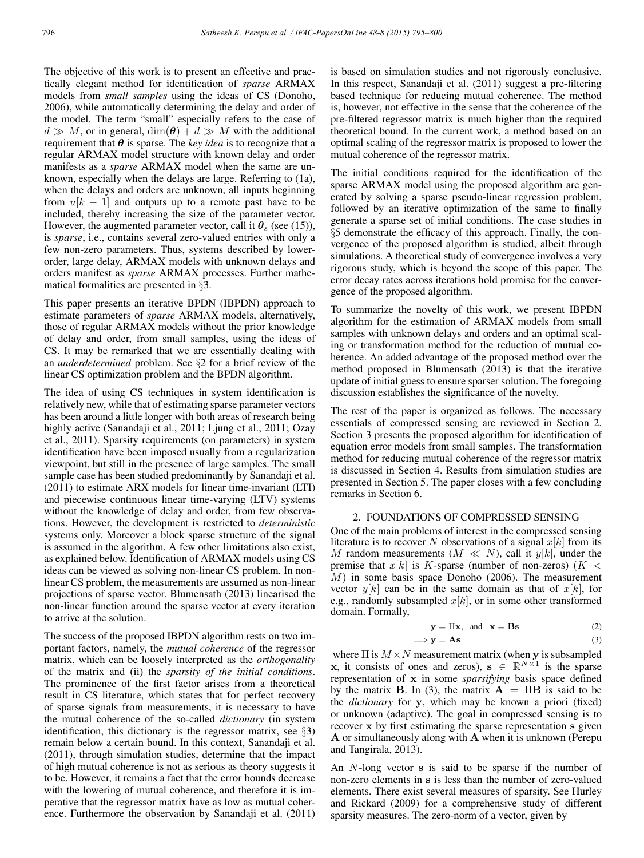The objective of this work is to present an effective and practically elegant method for identification of *sparse* ARMAX models from *small samples* using the ideas of CS (Donoho, 2006), while automatically determining the delay and order of the model. The term "small" especially refers to the case of  $d \gg M$ , or in general,  $\dim(\theta) + d \gg M$  with the additional requirement that  $\theta$  is sparse. The *key idea* is to recognize that a regular ARMAX model structure with known delay and order manifests as a *sparse* ARMAX model when the same are unknown, especially when the delays are large. Referring to (1a), when the delays and orders are unknown, all inputs beginning from  $u[k - 1]$  and outputs up to a remote past have to be included, thereby increasing the size of the parameter vector. However, the augmented parameter vector, call it  $\theta_s$  (see (15)), is *sparse*, i.e., contains several zero-valued entries with only a few non-zero parameters. Thus, systems described by lowerorder, large delay, ARMAX models with unknown delays and orders manifest as *sparse* ARMAX processes. Further mathematical formalities are presented in §3.

This paper presents an iterative BPDN (IBPDN) approach to estimate parameters of *sparse* ARMAX models, alternatively, those of regular ARMAX models without the prior knowledge of delay and order, from small samples, using the ideas of CS. It may be remarked that we are essentially dealing with an *underdetermined* problem. See §2 for a brief review of the linear CS optimization problem and the BPDN algorithm.

The idea of using CS techniques in system identification is relatively new, while that of estimating sparse parameter vectors has been around a little longer with both areas of research being highly active (Sanandaji et al., 2011; Ljung et al., 2011; Ozay et al., 2011). Sparsity requirements (on parameters) in system identification have been imposed usually from a regularization viewpoint, but still in the presence of large samples. The small sample case has been studied predominantly by Sanandaji et al. (2011) to estimate ARX models for linear time-invariant (LTI) and piecewise continuous linear time-varying (LTV) systems without the knowledge of delay and order, from few observations. However, the development is restricted to *deterministic* systems only. Moreover a block sparse structure of the signal is assumed in the algorithm. A few other limitations also exist, as explained below. Identification of ARMAX models using CS ideas can be viewed as solving non-linear CS problem. In nonlinear CS problem, the measurements are assumed as non-linear projections of sparse vector. Blumensath (2013) linearised the non-linear function around the sparse vector at every iteration to arrive at the solution.

The success of the proposed IBPDN algorithm rests on two important factors, namely, the *mutual coherence* of the regressor matrix, which can be loosely interpreted as the *orthogonality* of the matrix and (ii) the *sparsity of the initial conditions*. The prominence of the first factor arises from a theoretical result in CS literature, which states that for perfect recovery of sparse signals from measurements, it is necessary to have the mutual coherence of the so-called *dictionary* (in system identification, this dictionary is the regressor matrix, see §3) remain below a certain bound. In this context, Sanandaji et al. (2011), through simulation studies, determine that the impact of high mutual coherence is not as serious as theory suggests it to be. However, it remains a fact that the error bounds decrease with the lowering of mutual coherence, and therefore it is imperative that the regressor matrix have as low as mutual coherence. Furthermore the observation by Sanandaji et al. (2011)

is based on simulation studies and not rigorously conclusive. In this respect, Sanandaji et al. (2011) suggest a pre-filtering based technique for reducing mutual coherence. The method is, however, not effective in the sense that the coherence of the pre-filtered regressor matrix is much higher than the required theoretical bound. In the current work, a method based on an optimal scaling of the regressor matrix is proposed to lower the mutual coherence of the regressor matrix.

The initial conditions required for the identification of the sparse ARMAX model using the proposed algorithm are generated by solving a sparse pseudo-linear regression problem, followed by an iterative optimization of the same to finally generate a sparse set of initial conditions. The case studies in §5 demonstrate the efficacy of this approach. Finally, the convergence of the proposed algorithm is studied, albeit through simulations. A theoretical study of convergence involves a very rigorous study, which is beyond the scope of this paper. The error decay rates across iterations hold promise for the convergence of the proposed algorithm.

To summarize the novelty of this work, we present IBPDN algorithm for the estimation of ARMAX models from small samples with unknown delays and orders and an optimal scaling or transformation method for the reduction of mutual coherence. An added advantage of the proposed method over the method proposed in Blumensath (2013) is that the iterative update of initial guess to ensure sparser solution. The foregoing discussion establishes the significance of the novelty.

The rest of the paper is organized as follows. The necessary essentials of compressed sensing are reviewed in Section 2. Section 3 presents the proposed algorithm for identification of equation error models from small samples. The transformation method for reducing mutual coherence of the regressor matrix is discussed in Section 4. Results from simulation studies are presented in Section 5. The paper closes with a few concluding remarks in Section 6.

## 2. FOUNDATIONS OF COMPRESSED SENSING

One of the main problems of interest in the compressed sensing literature is to recover N observations of a signal  $x[k]$  from its M random measurements  $(M \ll N)$ , call it  $y[k]$ , under the premise that  $x[k]$  is K-sparse (number of non-zeros) ( $K <$ M) in some basis space Donoho (2006). The measurement vector  $y[k]$  can be in the same domain as that of  $x[k]$ , for e.g., randomly subsampled  $x[k]$ , or in some other transformed domain. Formally,

$$
y = \Pi x, \text{ and } x = \text{Bs}
$$
 (2)

$$
\implies y = As \tag{3}
$$

where  $\Pi$  is  $M \times N$  measurement matrix (when y is subsampled x, it consists of ones and zeros),  $s \in \mathbb{R}^{N \times 1}$  is the sparse representation of x in some *sparsifying* basis space defined by the matrix **B**. In (3), the matrix  $A = \Pi B$  is said to be the *dictionary* for y, which may be known a priori (fixed) or unknown (adaptive). The goal in compressed sensing is to recover x by first estimating the sparse representation s given A or simultaneously along with A when it is unknown (Perepu and Tangirala, 2013).

An N-long vector s is said to be sparse if the number of non-zero elements in s is less than the number of zero-valued elements. There exist several measures of sparsity. See Hurley and Rickard (2009) for a comprehensive study of different sparsity measures. The zero-norm of a vector, given by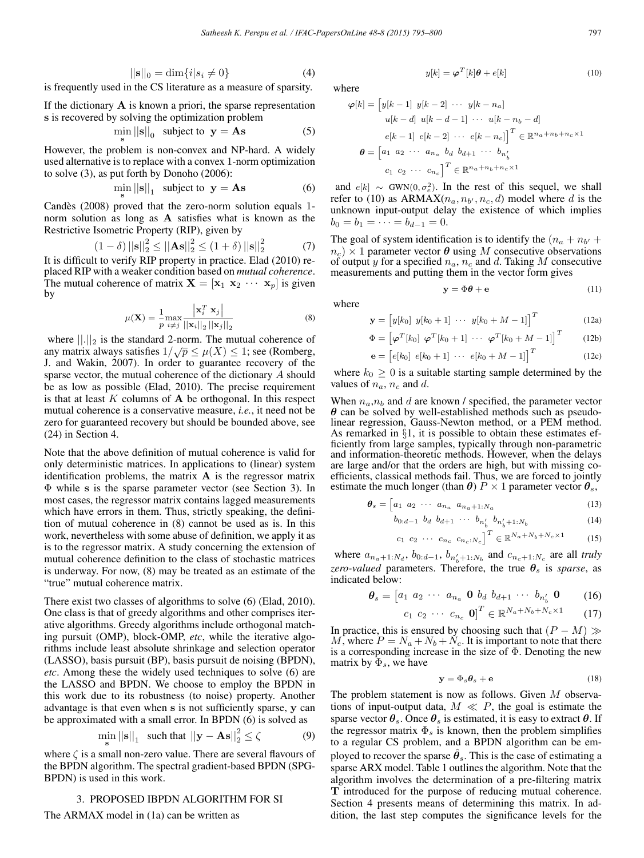$$
||\mathbf{s}||_0 = \dim\{i|s_i \neq 0\}
$$
 (4)

is frequently used in the CS literature as a measure of sparsity.

If the dictionary  $\bf{A}$  is known a priori, the sparse representation s is recovered by solving the optimization problem

$$
\min_{\mathbf{s}} ||\mathbf{s}||_0 \text{ subject to } \mathbf{y} = \mathbf{A}\mathbf{s} \tag{5}
$$

However, the problem is non-convex and NP-hard. A widely used alternative is to replace with a convex 1-norm optimization to solve (3), as put forth by Donoho (2006):

$$
\min_{\mathbf{s}} ||\mathbf{s}||_1 \text{ subject to } \mathbf{y} = \mathbf{A}\mathbf{s} \tag{6}
$$

Candès (2008) proved that the zero-norm solution equals 1norm solution as long as A satisfies what is known as the Restrictive Isometric Property (RIP), given by

$$
(1 - \delta) ||\mathbf{s}||_2^2 \le ||\mathbf{A}\mathbf{s}||_2^2 \le (1 + \delta) ||\mathbf{s}||_2^2 \tag{7}
$$

It is difficult to verify RIP property in practice. Elad (2010) replaced RIP with a weaker condition based on *mutual coherence*. The mutual coherence of matrix  $X = [\mathbf{x}_1 \ \mathbf{x}_2 \ \cdots \ \mathbf{x}_p]$  is given by

$$
\mu(\mathbf{X}) = \frac{1}{p} \max_{i \neq j} \frac{\left| \mathbf{x}_i^T \mathbf{x}_j \right|}{\left| \left| \mathbf{x}_i \right| \right|_2 \left| \left| \mathbf{x}_j \right| \right|_2} \tag{8}
$$

where  $\|\cdot\|_2$  is the standard 2-norm. The mutual coherence of any matrix always satisfies  $1/\sqrt{p} \le \mu(X) \le 1$ ; see (Romberg, J. and Wakin, 2007). In order to guarantee recovery of the sparse vector, the mutual coherence of the dictionary A should be as low as possible (Elad, 2010). The precise requirement is that at least  $K$  columns of  $A$  be orthogonal. In this respect mutual coherence is a conservative measure, *i.e.*, it need not be zero for guaranteed recovery but should be bounded above, see (24) in Section 4.

Note that the above definition of mutual coherence is valid for only deterministic matrices. In applications to (linear) system identification problems, the matrix  $\bf{A}$  is the regressor matrix Φ while s is the sparse parameter vector (see Section 3). In most cases, the regressor matrix contains lagged measurements which have errors in them. Thus, strictly speaking, the definition of mutual coherence in (8) cannot be used as is. In this work, nevertheless with some abuse of definition, we apply it as is to the regressor matrix. A study concerning the extension of mutual coherence definition to the class of stochastic matrices is underway. For now, (8) may be treated as an estimate of the "true" mutual coherence matrix.

There exist two classes of algorithms to solve (6) (Elad, 2010). One class is that of greedy algorithms and other comprises iterative algorithms. Greedy algorithms include orthogonal matching pursuit (OMP), block-OMP, *etc*, while the iterative algorithms include least absolute shrinkage and selection operator (LASSO), basis pursuit (BP), basis pursuit de noising (BPDN), *etc*. Among these the widely used techniques to solve (6) are the LASSO and BPDN. We choose to employ the BPDN in this work due to its robustness (to noise) property. Another advantage is that even when s is not sufficiently sparse, y can be approximated with a small error. In BPDN (6) is solved as

$$
\min_{\mathbf{s}} ||\mathbf{s}||_1 \quad \text{such that } ||\mathbf{y} - \mathbf{A}\mathbf{s}||_2^2 \le \zeta \tag{9}
$$

where  $\zeta$  is a small non-zero value. There are several flavours of the BPDN algorithm. The spectral gradient-based BPDN (SPG-BPDN) is used in this work.

#### 3. PROPOSED IBPDN ALGORITHM FOR SI

The ARMAX model in (1a) can be written as

where

$$
\varphi[k] = \begin{bmatrix} y[k-1] & y[k-2] & \cdots & y[k-n_a] \\ u[k-d] & u[k-d-1] & \cdots & u[k-n_b-d] \\ e[k-1] & e[k-2] & \cdots & e[k-n_c] \end{bmatrix}^T \in \mathbb{R}^{n_a + n_b + n_c \times 1}
$$

 $y[k] = \boldsymbol{\varphi}^T[k]\boldsymbol{\theta} + e[k]$  (10)

$$
\boldsymbol{\theta} = \begin{bmatrix} a_1 & a_2 & \cdots & a_{n_a} & b_d & b_{d+1} & \cdots & b_{n'_b} \\ c_1 & c_2 & \cdots & c_{n_c} \end{bmatrix}^T \in \mathbb{R}^{n_a + n_b + n_c \times 1}
$$

and  $e[k] \sim \text{GWN}(0, \sigma_e^2)$ . In the rest of this sequel, we shall refer to (10) as  $ARMAX(n_a, n_{b'}, n_c, d)$  model where d is the unknown input-output delay the existence of which implies  $b_0 = b_1 = \cdots = b_{d-1} = 0.$ 

The goal of system identification is to identify the  $(n_a + n_{b'} +$  $n_c$ ) × 1 parameter vector  $\theta$  using M consecutive observations of output y for a specified  $n_a$ ,  $n_c$  and d. Taking M consecutive measurements and putting them in the vector form gives

where

$$
\mathbf{y} = \begin{bmatrix} y[k_0] & y[k_0+1] & \cdots & y[k_0+M-1] \end{bmatrix}^T
$$
 (12a)

 $y = \Phi \theta + e$  (11)

$$
\Phi = \left[\varphi^T[k_0] \; \varphi^T[k_0+1] \; \cdots \; \varphi^T[k_0+M-1] \right]^T \qquad (12b)
$$

$$
\mathbf{e} = [e[k_0] \ e[k_0 + 1] \ \cdots \ e[k_0 + M - 1]]^T \tag{12c}
$$

where  $k_0 \geq 0$  is a suitable starting sample determined by the values of  $n_a$ ,  $n_c$  and d.

When  $n_a, n_b$  and d are known / specified, the parameter vector  $\theta$  can be solved by well-established methods such as pseudolinear regression, Gauss-Newton method, or a PEM method. As remarked in §1, it is possible to obtain these estimates efficiently from large samples, typically through non-parametric and information-theoretic methods. However, when the delays are large and/or that the orders are high, but with missing coefficients, classical methods fail. Thus, we are forced to jointly estimate the much longer (than  $\theta$ )  $P \times 1$  parameter vector  $\theta_s$ ,

$$
\boldsymbol{\theta}_s = \begin{bmatrix} a_1 & a_2 & \cdots & a_{n_a} & a_{n_a+1:N_a} \end{bmatrix} \tag{13}
$$

$$
b_{0:d-1} \ \ b_d \ \ b_{d+1} \ \cdots \ b_{n'_b} \ \ b_{n'_b+1:N_b} \tag{14}
$$

$$
c_1 \ c_2 \ \cdots \ c_{n_c} \ c_{n_c:N_c} \bigg]^T \in \mathbb{R}^{N_a + N_b + N_c \times 1} \tag{15}
$$

where  $a_{n_a+1:N_d}$ ,  $b_{0:d-1}$ ,  $b_{n'_b+1:N_b}$  and  $c_{n_c+1:N_c}$  are all *truly zero-valued* parameters. Therefore, the true  $\theta_s$  is *sparse*, as indicated below:

$$
\boldsymbol{\theta}_s = \begin{bmatrix} a_1 & a_2 & \cdots & a_{n_a} & \mathbf{0} & b_d & b_{d+1} & \cdots & b_{n'_b} & \mathbf{0} & \cdots & (16) \end{bmatrix}
$$

$$
c_1 \ c_2 \ \cdots \ c_{n_c} \ \mathbf{0} \bigr]^T \in \mathbb{R}^{N_a + N_b + N_c \times 1} \tag{17}
$$

In practice, this is ensured by choosing such that  $(P - M) \gg$ M, where  $P = N_a + N_b + N_c$ . It is important to note that there is a corresponding increase in the size of Φ. Denoting the new matrix by  $\Phi_s$ , we have

$$
y = \Phi_s \theta_s + e \tag{18}
$$

The problem statement is now as follows. Given M observations of input-output data,  $M \ll P$ , the goal is estimate the sparse vector  $\theta_s$ . Once  $\theta_s$  is estimated, it is easy to extract  $\theta$ . If the regressor matrix  $\Phi_s$  is known, then the problem simplifies to a regular CS problem, and a BPDN algorithm can be employed to recover the sparse  $\hat{\theta}_s$ . This is the case of estimating a sparse ARX model. Table 1 outlines the algorithm. Note that the algorithm involves the determination of a pre-filtering matrix T introduced for the purpose of reducing mutual coherence. Section 4 presents means of determining this matrix. In addition, the last step computes the significance levels for the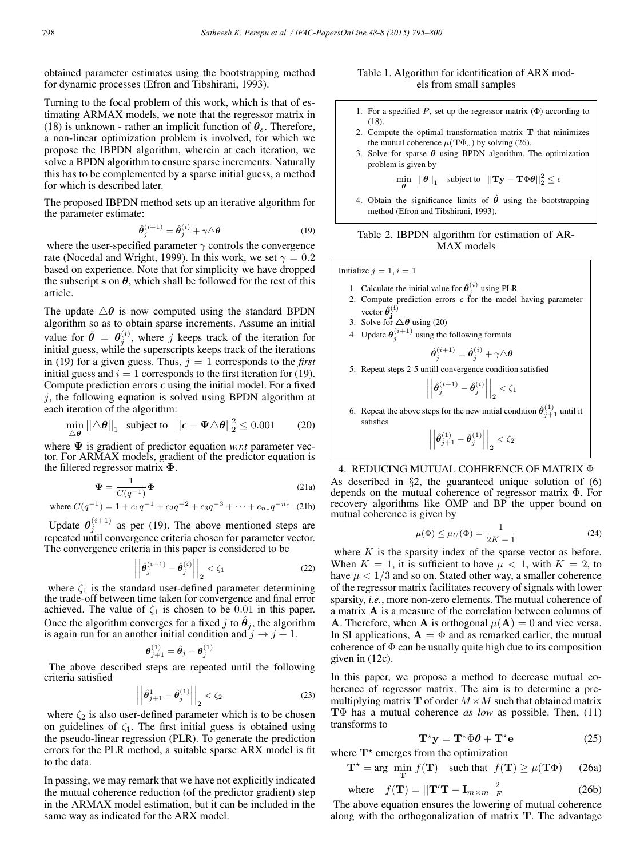obtained parameter estimates using the bootstrapping method for dynamic processes (Efron and Tibshirani, 1993).

Turning to the focal problem of this work, which is that of estimating ARMAX models, we note that the regressor matrix in (18) is unknown - rather an implicit function of  $\theta_s$ . Therefore, a non-linear optimization problem is involved, for which we propose the IBPDN algorithm, wherein at each iteration, we solve a BPDN algorithm to ensure sparse increments. Naturally this has to be complemented by a sparse initial guess, a method for which is described later.

The proposed IBPDN method sets up an iterative algorithm for the parameter estimate:

$$
\hat{\boldsymbol{\theta}}_{j}^{(i+1)} = \hat{\boldsymbol{\theta}}_{j}^{(i)} + \gamma \triangle \boldsymbol{\theta}
$$
\n(19)

where the user-specified parameter  $\gamma$  controls the convergence rate (Nocedal and Wright, 1999). In this work, we set  $\gamma = 0.2$ based on experience. Note that for simplicity we have dropped the subscript s on  $\theta$ , which shall be followed for the rest of this article.

The update  $\triangle \theta$  is now computed using the standard BPDN algorithm so as to obtain sparse increments. Assume an initial value for  $\hat{\theta} = \theta_j^{(i)}$ , where j keeps track of the iteration for initial guess, while the superscripts keeps track of the iterations in (19) for a given guess. Thus,  $j = 1$  corresponds to the *first* initial guess and  $i = 1$  corresponds to the first iteration for (19). Compute prediction errors  $\epsilon$  using the initial model. For a fixed  $i$ , the following equation is solved using BPDN algorithm at each iteration of the algorithm:

$$
\min_{\triangle \theta} ||\triangle \theta||_1 \text{ subject to } ||\boldsymbol{\epsilon} - \boldsymbol{\Psi} \triangle \theta||_2^2 \le 0.001 \qquad (20)
$$

where Ψ is gradient of predictor equation *w.r.t* parameter vector. For ARMAX models, gradient of the predictor equation is the filtered regressor matrix Φ.

$$
\Psi = \frac{1}{C(q^{-1})} \Phi
$$
 (21a)

where 
$$
C(q^{-1}) = 1 + c_1 q^{-1} + c_2 q^{-2} + c_3 q^{-3} + \dots + c_{n_c} q^{-n_c}
$$
 (21b)

Update  $\theta_j^{(i+1)}$  as per (19). The above mentioned steps are repeated until convergence criteria chosen for parameter vector. The convergence criteria in this paper is considered to be

$$
\left| \left| \hat{\theta}_j^{(i+1)} - \hat{\theta}_j^{(i)} \right| \right|_2 < \zeta_1 \tag{22}
$$

where  $\zeta_1$  is the standard user-defined parameter determining the trade-off between time taken for convergence and final error achieved. The value of  $\zeta_1$  is chosen to be 0.01 in this paper. Once the algorithm converges for a fixed j to  $\theta_i$ , the algorithm is again run for an another initial condition and  $j \rightarrow j + 1$ .

$$
\pmb{\theta}_{j+1}^{(1)} = \hat{\pmb{\theta}}_j - \pmb{\theta}_j^{(1)}
$$

The above described steps are repeated until the following criteria satisfied

$$
\left| \left| \hat{\theta}_{j+1}^1 - \hat{\theta}_j^{(1)} \right| \right|_2 < \zeta_2 \tag{23}
$$

where  $\zeta_2$  is also user-defined parameter which is to be chosen on guidelines of  $\zeta_1$ . The first initial guess is obtained using the pseudo-linear regression (PLR). To generate the prediction errors for the PLR method, a suitable sparse ARX model is fit to the data.

In passing, we may remark that we have not explicitly indicated the mutual coherence reduction (of the predictor gradient) step in the ARMAX model estimation, but it can be included in the same way as indicated for the ARX model.

# Table 1. Algorithm for identification of ARX models from small samples

- 1. For a specified P, set up the regressor matrix  $(\Phi)$  according to (18).
- 2. Compute the optimal transformation matrix  $T$  that minimizes the mutual coherence  $\mu(\mathbf{T}\Phi_s)$  by solving (26).
- 3. Solve for sparse  $\theta$  using BPDN algorithm. The optimization problem is given by

 $\min_{\mathbf{\theta}}$   $||\mathbf{\theta}||_1$  subject to  $||\mathbf{Ty}-\mathbf{T}\Phi\mathbf{\theta}||_2^2 \leq \epsilon$ θ

4. Obtain the significance limits of  $\hat{\theta}$  using the bootstrapping method (Efron and Tibshirani, 1993).

|            |  |  |  | Table 2. IBPDN algorithm for estimation of AR- |  |  |
|------------|--|--|--|------------------------------------------------|--|--|
| MAX models |  |  |  |                                                |  |  |

Initialize  $j = 1, i = 1$ 

- 1. Calculate the initial value for  $\hat{\theta}_j^{(i)}$  using PLR
- 2. Compute prediction errors  $\epsilon$  for the model having parameter vector  $\hat{\theta}_j^{(i)}$
- 3. Solve for  $\triangle \theta$  using (20)
- 4. Update  $\theta_j^{(i+1)}$  using the following formula

$$
\hat{\boldsymbol\theta}_j^{(i+1)}=\hat{\boldsymbol\theta}_j^{(i)}+\gamma\triangle\boldsymbol\theta
$$

5. Repeat steps 2-5 untill convergence condition satisfied

$$
\left|\left|\hat{\theta}_j^{(i+1)}-\hat{\theta}_j^{(i)}\right|\right|_2<\zeta_1
$$

6. Repeat the above steps for the new initial condition  $\hat{\theta}_{j+1}^{(1)}$  until it satisfies

$$
\left|\left|\hat{\theta}_{j+1}^{(1)}-\hat{\theta}_{j}^{(1)}\right|\right|_{2}<\zeta_{2}
$$

# 4. REDUCING MUTUAL COHERENCE OF MATRIX Φ As described in §2, the guaranteed unique solution of (6)

depends on the mutual coherence of regressor matrix Φ. For recovery algorithms like OMP and BP the upper bound on mutual coherence is given by

$$
\mu(\Phi) \le \mu_U(\Phi) = \frac{1}{2K - 1} \tag{24}
$$

where  $K$  is the sparsity index of the sparse vector as before. When  $K = 1$ , it is sufficient to have  $\mu < 1$ , with  $K = 2$ , to have  $\mu < 1/3$  and so on. Stated other way, a smaller coherence of the regressor matrix facilitates recovery of signals with lower sparsity, *i.e.*, more non-zero elements. The mutual coherence of a matrix A is a measure of the correlation between columns of **A**. Therefore, when **A** is orthogonal  $\mu(A)=0$  and vice versa. In SI applications,  $\mathbf{A} = \Phi$  and as remarked earlier, the mutual coherence of  $\Phi$  can be usually quite high due to its composition given in (12c).

In this paper, we propose a method to decrease mutual coherence of regressor matrix. The aim is to determine a premultiplying matrix **T** of order  $M \times M$  such that obtained matrix TΦ has a mutual coherence *as low* as possible. Then, (11) transforms to

$$
T^*y = T^*\Phi\theta + T^*e \tag{25}
$$

where  $T^*$  emerges from the optimization

$$
\mathbf{T}^* = \arg \ \min_{\mathbf{T}} f(\mathbf{T}) \quad \text{such that} \ \ f(\mathbf{T}) \ge \mu(\mathbf{T}\Phi) \tag{26a}
$$

where 
$$
f(\mathbf{T}) = ||\mathbf{T}'\mathbf{T} - \mathbf{I}_{m \times m}||_F^2
$$
 (26b)

The above equation ensures the lowering of mutual coherence along with the orthogonalization of matrix T. The advantage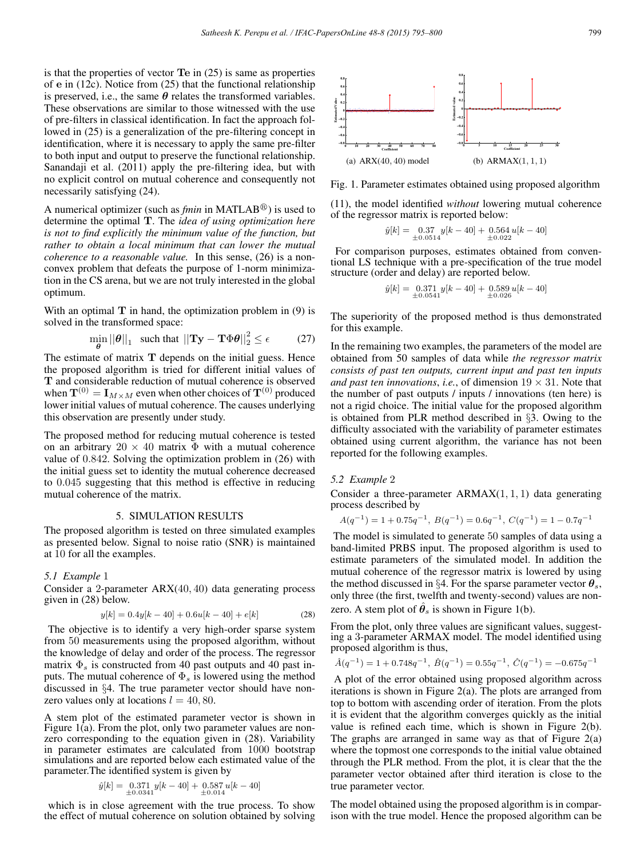is that the properties of vector Te in (25) is same as properties of e in (12c). Notice from (25) that the functional relationship is preserved, i.e., the same  $\theta$  relates the transformed variables. These observations are similar to those witnessed with the use of pre-filters in classical identification. In fact the approach followed in (25) is a generalization of the pre-filtering concept in identification, where it is necessary to apply the same pre-filter to both input and output to preserve the functional relationship. Sanandaji et al. (2011) apply the pre-filtering idea, but with no explicit control on mutual coherence and consequently not necessarily satisfying (24).

A numerical optimizer (such as *fmin* in MATLAB<sup>®</sup>) is used to determine the optimal T. The *idea of using optimization here is not to find explicitly the minimum value of the function, but rather to obtain a local minimum that can lower the mutual coherence to a reasonable value.* In this sense, (26) is a nonconvex problem that defeats the purpose of 1-norm minimization in the CS arena, but we are not truly interested in the global optimum.

With an optimal  $T$  in hand, the optimization problem in  $(9)$  is solved in the transformed space:

$$
\min_{\theta} ||\theta||_1 \quad \text{such that } ||\mathbf{T} \mathbf{y} - \mathbf{T} \Phi \theta||_2^2 \le \epsilon \tag{27}
$$

The estimate of matrix T depends on the initial guess. Hence the proposed algorithm is tried for different initial values of T and considerable reduction of mutual coherence is observed when  $\mathbf{T}^{(0)} = \mathbf{I}_{M \times M}$  even when other choices of  $\mathbf{T}^{(0)}$  produced lower initial values of mutual coherence. The causes underlying this observation are presently under study.

The proposed method for reducing mutual coherence is tested on an arbitrary  $20 \times 40$  matrix  $\Phi$  with a mutual coherence value of 0.842. Solving the optimization problem in (26) with the initial guess set to identity the mutual coherence decreased to 0.045 suggesting that this method is effective in reducing mutual coherence of the matrix.

#### 5. SIMULATION RESULTS

The proposed algorithm is tested on three simulated examples as presented below. Signal to noise ratio (SNR) is maintained at 10 for all the examples.

#### *5.1 Example* 1

Consider a 2-parameter ARX(40, 40) data generating process given in (28) below.

$$
y[k] = 0.4y[k - 40] + 0.6u[k - 40] + e[k]
$$
 (28)

The objective is to identify a very high-order sparse system from 50 measurements using the proposed algorithm, without the knowledge of delay and order of the process. The regressor matrix  $\Phi_s$  is constructed from 40 past outputs and 40 past inputs. The mutual coherence of  $\Phi_s$  is lowered using the method discussed in §4. The true parameter vector should have nonzero values only at locations  $l = 40, 80$ .

A stem plot of the estimated parameter vector is shown in Figure  $1(a)$ . From the plot, only two parameter values are nonzero corresponding to the equation given in (28). Variability in parameter estimates are calculated from 1000 bootstrap simulations and are reported below each estimated value of the parameter.The identified system is given by

$$
\hat{y}[k] = \underset{\pm 0.0341}{0.371} y[k - 40] + \underset{\pm 0.014}{0.587} u[k - 40]
$$

which is in close agreement with the true process. To show the effect of mutual coherence on solution obtained by solving



Fig. 1. Parameter estimates obtained using proposed algorithm

(11), the model identified *without* lowering mutual coherence of the regressor matrix is reported below:

$$
\hat{y}[k] = \underset{\pm 0.0514}{0.37} y[k - 40] + \underset{\pm 0.022}{0.564} u[k - 40]
$$

For comparison purposes, estimates obtained from conventional LS technique with a pre-specification of the true model structure (order and delay) are reported below.

$$
\hat{y}[k] = \underset{\pm 0.0541}{0.371} y[k - 40] + \underset{\pm 0.026}{0.589} u[k - 40]
$$

The superiority of the proposed method is thus demonstrated for this example.

In the remaining two examples, the parameters of the model are obtained from 50 samples of data while *the regressor matrix consists of past ten outputs, current input and past ten inputs and past ten innovations, i.e., of dimension*  $19 \times 31$ . Note that the number of past outputs / inputs / innovations (ten here) is not a rigid choice. The initial value for the proposed algorithm is obtained from PLR method described in §3. Owing to the difficulty associated with the variability of parameter estimates obtained using current algorithm, the variance has not been reported for the following examples.

#### *5.2 Example* 2

Consider a three-parameter  $ARMAX(1, 1, 1)$  data generating process described by

$$
A(q^{-1}) = 1 + 0.75q^{-1}, B(q^{-1}) = 0.6q^{-1}, C(q^{-1}) = 1 - 0.7q^{-1}
$$

The model is simulated to generate 50 samples of data using a band-limited PRBS input. The proposed algorithm is used to estimate parameters of the simulated model. In addition the mutual coherence of the regressor matrix is lowered by using the method discussed in §4. For the sparse parameter vector  $\theta_s$ , only three (the first, twelfth and twenty-second) values are nonzero. A stem plot of  $\hat{\theta}_s$  is shown in Figure 1(b).

From the plot, only three values are significant values, suggesting a 3-parameter ARMAX model. The model identified using proposed algorithm is thus,

$$
\hat{A}(q^{-1}) = 1 + 0.748q^{-1}, \ \hat{B}(q^{-1}) = 0.55q^{-1}, \ \hat{C}(q^{-1}) = -0.675q^{-1}
$$

A plot of the error obtained using proposed algorithm across iterations is shown in Figure 2(a). The plots are arranged from top to bottom with ascending order of iteration. From the plots it is evident that the algorithm converges quickly as the initial value is refined each time, which is shown in Figure 2(b). The graphs are arranged in same way as that of Figure  $2(a)$ where the topmost one corresponds to the initial value obtained through the PLR method. From the plot, it is clear that the the parameter vector obtained after third iteration is close to the true parameter vector.

The model obtained using the proposed algorithm is in comparison with the true model. Hence the proposed algorithm can be